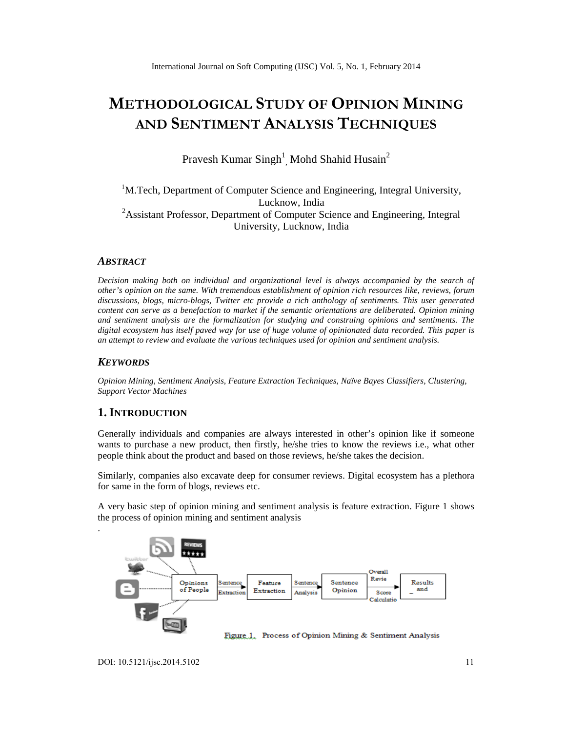# **METHODOLOGICAL STUDY OF OPINION MINING AND SENTIMENT ANALYSIS TECHNIQUES**

Pravesh Kumar Singh<sup>1</sup>, Mohd Shahid Husain<sup>2</sup>

# <sup>1</sup>M.Tech, Department of Computer Science and Engineering, Integral University, Lucknow, India <sup>2</sup>Assistant Professor, Department of Computer Science and Engineering, Integral University, Lucknow, India

# *ABSTRACT*

*Decision making both on individual and organizational level is always accompanied by the search of other's opinion on the same. With tremendous establishment of opinion rich resources like, reviews, forum discussions, blogs, micro-blogs, Twitter etc provide a rich anthology of sentiments. This user generated content can serve as a benefaction to market if the semantic orientations are deliberated. Opinion mining and sentiment analysis are the formalization for studying and construing opinions and sentiments. The digital ecosystem has itself paved way for use of huge volume of opinionated data recorded. This paper is an attempt to review and evaluate the various techniques used for opinion and sentiment analysis.*

#### *KEYWORDS*

*Opinion Mining, Sentiment Analysis, Feature Extraction Techniques, Naïve Bayes Classifiers, Clustering, Support Vector Machines*

# **1. INTRODUCTION**

Generally individuals and companies are always interested in other's opinion like if someone wants to purchase a new product, then firstly, he/she tries to know the reviews i.e., what other people think about the product and based on those reviews, he/she takes the decision.

Similarly, companies also excavate deep for consumer reviews. Digital ecosystem has a plethora for same in the form of blogs, reviews etc.

A very basic step of opinion mining and sentiment analysis is feature extraction. Figure 1 shows the process of opinion mining and sentiment analysis

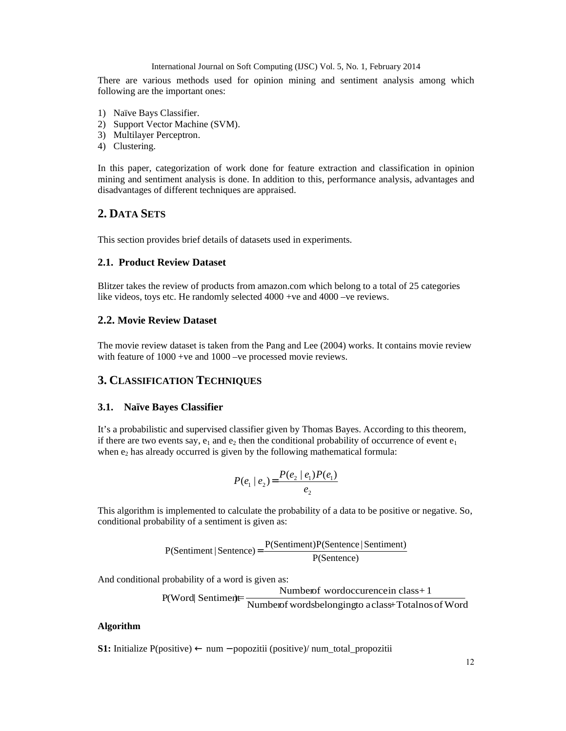There are various methods used for opinion mining and sentiment analysis among which following are the important ones:

- 1) Naïve Bays Classifier.
- 2) Support Vector Machine (SVM).
- 3) Multilayer Perceptron.
- 4) Clustering.

In this paper, categorization of work done for feature extraction and classification in opinion mining and sentiment analysis is done. In addition to this, performance analysis, advantages and disadvantages of different techniques are appraised.

# **2. DATA SETS**

This section provides brief details of datasets used in experiments.

#### **2.1. Product Review Dataset**

Blitzer takes the review of products from amazon.com which belong to a total of 25 categories like videos, toys etc. He randomly selected 4000 +ve and 4000 –ve reviews.

# **2.2. Movie Review Dataset**

The movie review dataset is taken from the Pang and Lee (2004) works. It contains movie review with feature of  $1000$  +ve and  $1000$  –ve processed movie reviews.

# **3. CLASSIFICATION TECHNIQUES**

# **3.1. Naïve Bayes Classifier**

It's a probabilistic and supervised classifier given by Thomas Bayes. According to this theorem, if there are two events say,  $e_1$  and  $e_2$  then the conditional probability of occurrence of event  $e_1$ when  $e_2$  has already occurred is given by the following mathematical formula:

$$
P(e_1 \mid e_2) = \frac{P(e_2 \mid e_1)P(e_1)}{e_2}
$$

This algorithm is implemented to calculate the probability of a data to be positive or negative. So, conditional probability of a sentiment is given as:

$$
P(Sentiment | Sentence) = \frac{P(Sentiment)P(Sentence | Sentiment)}{P(Sentence)}
$$

And conditional probability of a word is given as:

Numberof wordoccurencein class+ 1

P(Word| Sentiment) Mumberof wordsbelongingto aclass+Totalnos of Word

#### **Algorithm**

**S1:** Initialize P(positive) ← num − popozitii (positive)/ num\_total\_propozitii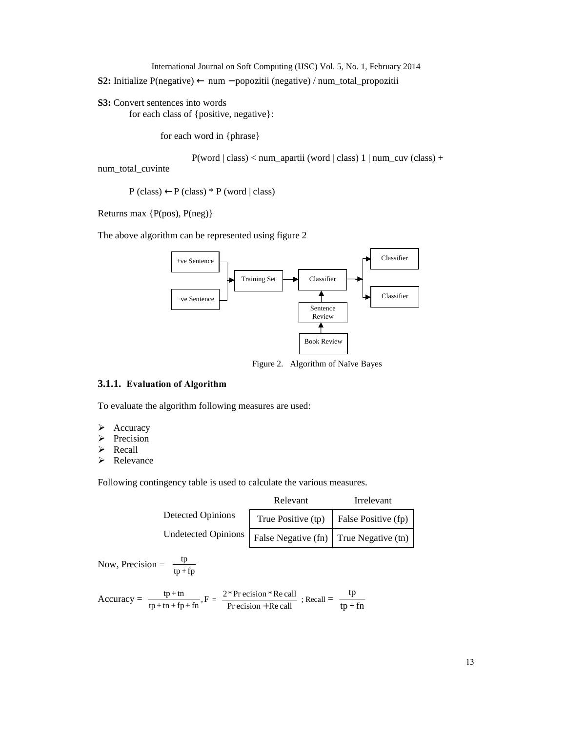**S2:** Initialize P(negative) ← num − popozitii (negative) / num\_total\_propozitii

**S3:** Convert sentences into words for each class of {positive, negative}:

for each word in {phrase}

P(word | class) < num\_apartii (word | class) 1 | num\_cuv (class) +

num\_total\_cuvinte

 $P$  (class)  $\leftarrow P$  (class) \* P (word | class)

Returns max {P(pos), P(neg)}

The above algorithm can be represented using figure 2



Figure 2. Algorithm of Naïve Bayes

# **3.1.1. Evaluation of Algorithm**

To evaluate the algorithm following measures are used:

- $\triangleright$  Accuracy
- $\triangleright$  Precision
- > Recall
- > Relevance

Following contingency table is used to calculate the various measures.

|                            | Relevant                                       | Irrelevant          |  |  |
|----------------------------|------------------------------------------------|---------------------|--|--|
| <b>Detected Opinions</b>   | True Positive (tp)                             | False Positive (fp) |  |  |
| <b>Undetected Opinions</b> | False Negative (fn) $\vert$ True Negative (tn) |                     |  |  |

Now, Precision =  $\frac{dp}{tp+fp}$ tp

$$
Accuracy = \frac{tp + tn}{tp + tn + fp + fn}, F = \frac{2*Pr\,ecision * Re\,call}{Pr\,ecision + Re\,call} \; ; Recall = \frac{tp}{tp + fn}
$$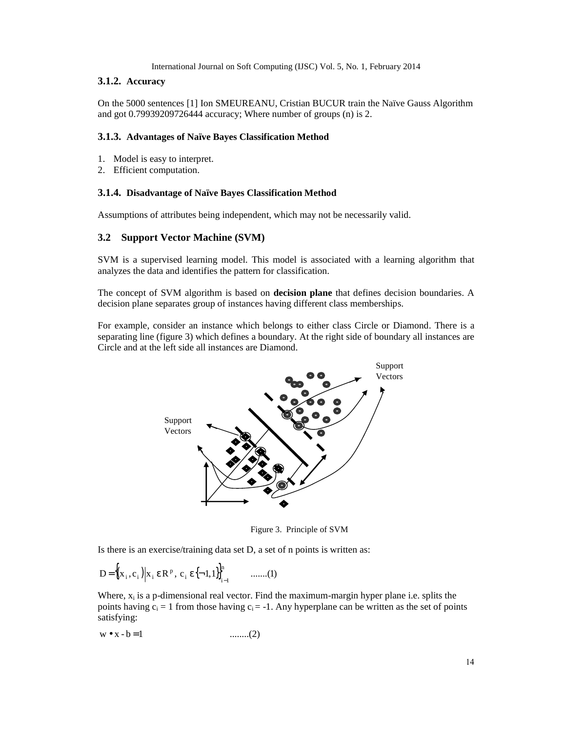# **3.1.2. Accuracy**

On the 5000 sentences [1] Ion SMEUREANU, Cristian BUCUR train the Naïve Gauss Algorithm and got 0.79939209726444 accuracy; Where number of groups (n) is 2.

# **3.1.3. Advantages of Naïve Bayes Classification Method**

- 1. Model is easy to interpret.
- 2. Efficient computation.

#### **3.1.4. Disadvantage of Naïve Bayes Classification Method**

Assumptions of attributes being independent, which may not be necessarily valid.

#### **3.2 Support Vector Machine (SVM)**

SVM is a supervised learning model. This model is associated with a learning algorithm that analyzes the data and identifies the pattern for classification.

The concept of SVM algorithm is based on **decision plane** that defines decision boundaries. A decision plane separates group of instances having different class memberships.

For example, consider an instance which belongs to either class Circle or Diamond. There is a separating line (figure 3) which defines a boundary. At the right side of boundary all instances are Circle and at the left side all instances are Diamond.



Figure 3. Principle of SVM

Is there is an exercise/training data set D, a set of n points is written as:

$$
D = \left\{ (x_i, c_i) \middle| x_i \in \mathbb{R}^p, \ c_i \in \{-1, 1\} \right\}_{i=1}^n \qquad \dots \dots (1)
$$

Where,  $x_i$  is a p-dimensional real vector. Find the maximum-margin hyper plane i.e. splits the points having  $c_i = 1$  from those having  $c_i = -1$ . Any hyperplane can be written as the set of points satisfying:

$$
w \bullet x - b = 1 \qquad \qquad \dots \dots \dots (2)
$$

14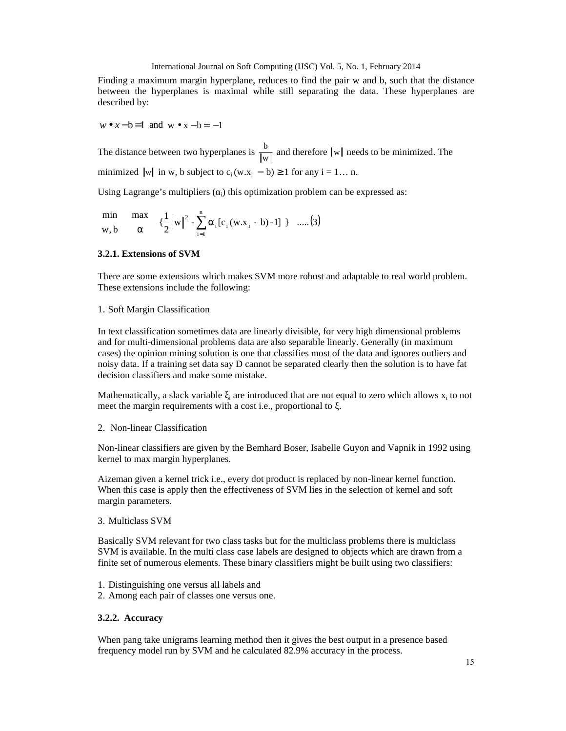Finding a maximum margin hyperplane, reduces to find the pair w and b, such that the distance between the hyperplanes is maximal while still separating the data. These hyperplanes are described by:

$$
w \bullet x - b = 1
$$
 and  $w \bullet x - b = -1$ 

The distance between two hyperplanes is  $\frac{6}{\|w\|}$  $\frac{b}{a}$  and therefore  $\|w\|$  needs to be minimized. The minimized  $\|w\|$  in w, b subject to  $c_i(w.x_i - b) \ge 1$  for any  $i = 1...$  n.

Using Lagrange's multipliers (i) this optimization problem can be expressed as:

$$
\min_{w, b} \quad \max_{\alpha} \left\{ \left\{ \left\{ \frac{1}{2} ||w||^2 - \frac{n}{i} \alpha_i [c_i(w.x_i - b) - 1] \right\} \right\} \dots (3)
$$

# **3.2.1. Extensions of SVM**

There are some extensions which makes SVM more robust and adaptable to real world problem. These extensions include the following:

### 1. Soft Margin Classification

In text classification sometimes data are linearly divisible, for very high dimensional problems and for multi-dimensional problems data are also separable linearly. Generally (in maximum cases) the opinion mining solution is one that classifies most of the data and ignores outliers and noisy data. If a training set data say D cannot be separated clearly then the solution is to have fat decision classifiers and make some mistake.

Mathematically, a slack variable  $\alpha_i$  are introduced that are not equal to zero which allows  $x_i$  to not meet the margin requirements with a cost i.e., proportional to.

#### 2. Non-linear Classification

Non-linear classifiers are given by the Bemhard Boser, Isabelle Guyon and Vapnik in 1992 using kernel to max margin hyperplanes.

Aizeman given a kernel trick i.e., every dot product is replaced by non-linear kernel function. When this case is apply then the effectiveness of SVM lies in the selection of kernel and soft margin parameters.

#### 3. Multiclass SVM

Basically SVM relevant for two class tasks but for the multiclass problems there is multiclass SVM is available. In the multi class case labels are designed to objects which are drawn from a finite set of numerous elements. These binary classifiers might be built using two classifiers:

- 1. Distinguishing one versus all labels and
- 2. Among each pair of classes one versus one.

# **3.2.2. Accuracy**

When pang take unigrams learning method then it gives the best output in a presence based frequency model run by SVM and he calculated 82.9% accuracy in the process.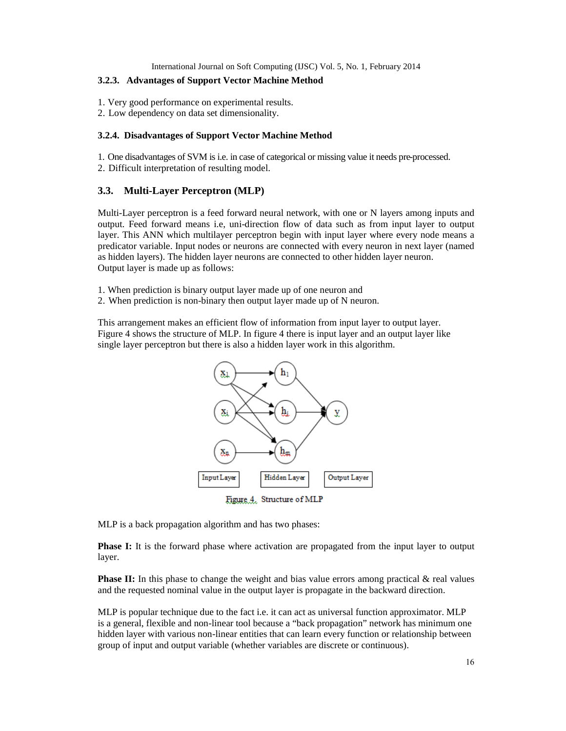### **3.2.3. Advantages of Support Vector Machine Method**

- 1. Very good performance on experimental results.
- 2. Low dependency on data set dimensionality.

#### **3.2.4. Disadvantages of Support Vector Machine Method**

1. One disadvantages of SVM is i.e. in case of categorical or missing value it needs pre-processed.

2. Difficult interpretation of resulting model.

# **3.3. Multi-Layer Perceptron (MLP)**

Multi-Layer perceptron is a feed forward neural network, with one or N layers among inputs and output. Feed forward means i.e, uni-direction flow of data such as from input layer to output layer. This ANN which multilayer perceptron begin with input layer where every node means a predicator variable. Input nodes or neurons are connected with every neuron in next layer (named as hidden layers). The hidden layer neurons are connected to other hidden layer neuron. Output layer is made up as follows:

- 1. When prediction is binary output layer made up of one neuron and
- 2. When prediction is non-binary then output layer made up of N neuron.

This arrangement makes an efficient flow of information from input layer to output layer. Figure 4 shows the structure of MLP. In figure 4 there is input layer and an output layer like single layer perceptron but there is also a hidden layer work in this algorithm.



MLP is a back propagation algorithm and has two phases:

**Phase I:** It is the forward phase where activation are propagated from the input layer to output layer.

**Phase II:** In this phase to change the weight and bias value errors among practical & real values and the requested nominal value in the output layer is propagate in the backward direction.

MLP is popular technique due to the fact i.e. it can act as universal function approximator. MLP is a general, flexible and non-linear tool because a "back propagation" network has minimum one hidden layer with various non-linear entities that can learn every function or relationship between group of input and output variable (whether variables are discrete or continuous).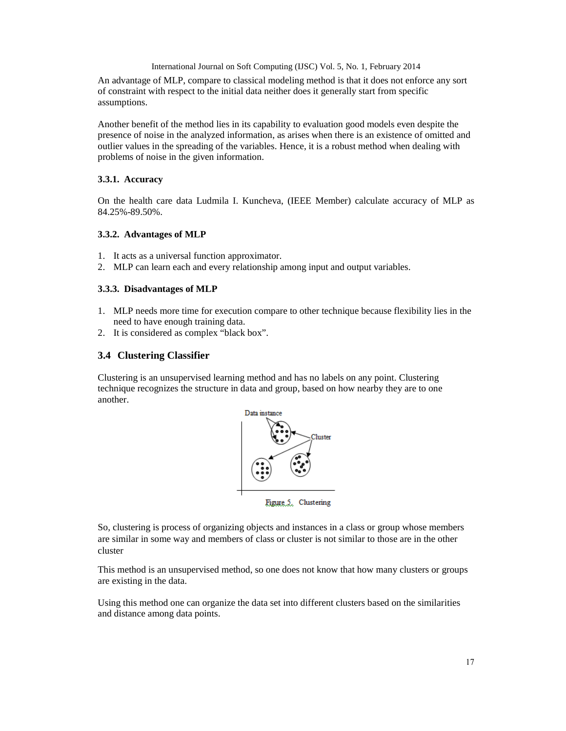An advantage of MLP, compare to classical modeling method is that it does not enforce any sort of constraint with respect to the initial data neither does it generally start from specific assumptions.

Another benefit of the method lies in its capability to evaluation good models even despite the presence of noise in the analyzed information, as arises when there is an existence of omitted and outlier values in the spreading of the variables. Hence, it is a robust method when dealing with problems of noise in the given information.

## **3.3.1. Accuracy**

On the health care data Ludmila I. Kuncheva, (IEEE Member) calculate accuracy of MLP as 84.25%-89.50%.

#### **3.3.2. Advantages of MLP**

- 1. It acts as a universal function approximator.
- 2. MLP can learn each and every relationship among input and output variables.

## **3.3.3. Disadvantages of MLP**

- 1. MLP needs more time for execution compare to other technique because flexibility lies in the need to have enough training data.
- 2. It is considered as complex "black box".

# **3.4 Clustering Classifier**

Clustering is an unsupervised learning method and has no labels on any point. Clustering technique recognizes the structure in data and group, based on how nearby they are to one another.



Figure 5. Clustering

So, clustering is process of organizing objects and instances in a class or group whose members are similar in some way and members of class or cluster is not similar to those are in the other cluster

This method is an unsupervised method, so one does not know that how many clusters or groups are existing in the data.

Using this method one can organize the data set into different clusters based on the similarities and distance among data points.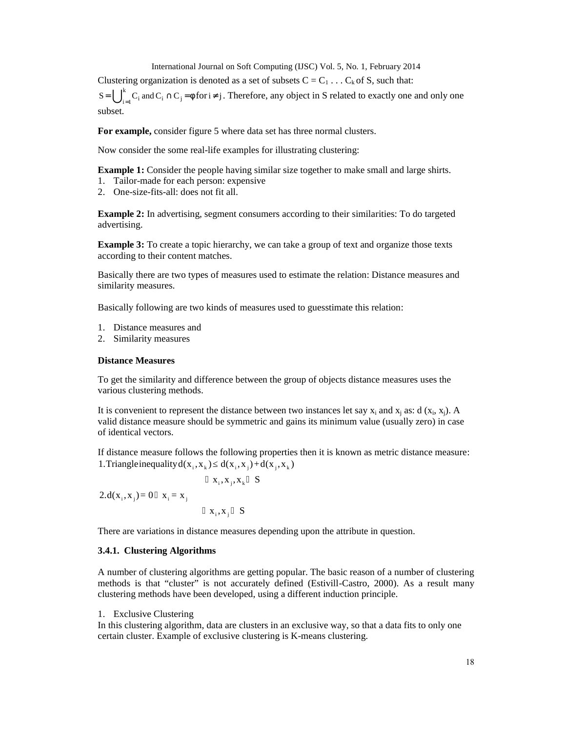Clustering organization is denoted as a set of subsets  $C = C_1 \ldots C_k$  of S, such that:

 $= \bigcup_{i=1}^{\infty} C_i$  and  $C_i \cap C_j = \emptyset$ k  $S = \bigcup_{i=1}^{k} C_i$  and  $C_i \cap C_j = \emptyset$  for  $i \neq j$ . Therefore, any object in S related to exactly one and only one subset.

**For example,** consider figure 5 where data set has three normal clusters.

Now consider the some real-life examples for illustrating clustering:

**Example 1:** Consider the people having similar size together to make small and large shirts.

- 1. Tailor-made for each person: expensive
- 2. One-size-fits-all: does not fit all.

**Example 2:** In advertising, segment consumers according to their similarities: To do targeted advertising.

**Example 3:** To create a topic hierarchy, we can take a group of text and organize those texts according to their content matches.

Basically there are two types of measures used to estimate the relation: Distance measures and similarity measures.

Basically following are two kinds of measures used to guesstimate this relation:

- 1. Distance measures and
- 2. Similarity measures

#### **Distance Measures**

To get the similarity and difference between the group of objects distance measures uses the various clustering methods.

It is convenient to represent the distance between two instances let say  $x_i$  and  $x_j$  as: d  $(x_i, x_j)$ . A valid distance measure should be symmetric and gains its minimum value (usually zero) in case of identical vectors.

If distance measure follows the following properties then it is known as metric distance measure: 1. Triangleinequality  $d(x_i, x_k)$   $d(x_i, x_j)+d(x_j, x_k)$ 

 $X_i, X_j$  S  $2.d(x_i, x_j) = 0$   $x_i = x_j$  $X_i, X_j, X_k$  S

There are variations in distance measures depending upon the attribute in question.

#### **3.4.1. Clustering Algorithms**

A number of clustering algorithms are getting popular. The basic reason of a number of clustering methods is that "cluster" is not accurately defined (Estivill-Castro, 2000). As a result many clustering methods have been developed, using a different induction principle.

1. Exclusive Clustering

In this clustering algorithm, data are clusters in an exclusive way, so that a data fits to only one certain cluster. Example of exclusive clustering is K-means clustering.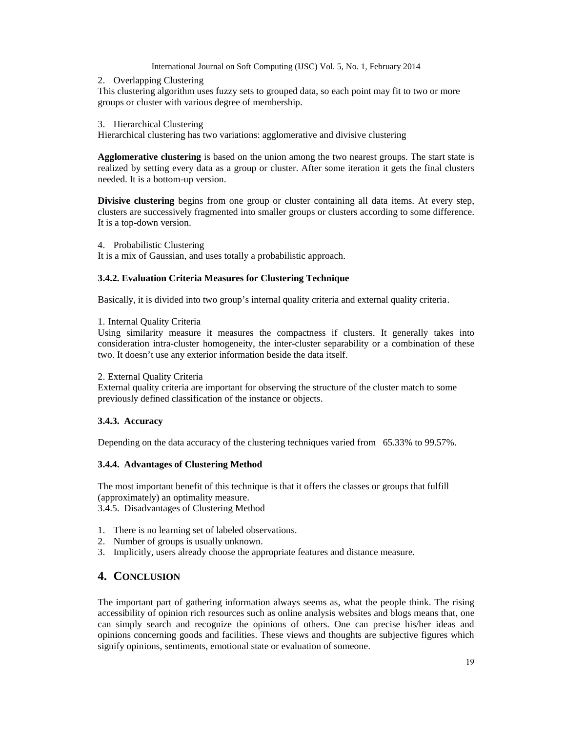#### 2. Overlapping Clustering

This clustering algorithm uses fuzzy sets to grouped data, so each point may fit to two or more groups or cluster with various degree of membership.

#### 3. Hierarchical Clustering

Hierarchical clustering has two variations: agglomerative and divisive clustering

**Agglomerative clustering** is based on the union among the two nearest groups. The start state is realized by setting every data as a group or cluster. After some iteration it gets the final clusters needed. It is a bottom-up version.

**Divisive clustering** begins from one group or cluster containing all data items. At every step, clusters are successively fragmented into smaller groups or clusters according to some difference. It is a top-down version.

4. Probabilistic Clustering

It is a mix of Gaussian, and uses totally a probabilistic approach.

#### **3.4.2. Evaluation Criteria Measures for Clustering Technique**

Basically, it is divided into two group's internal quality criteria and external quality criteria.

#### 1. Internal Quality Criteria

Using similarity measure it measures the compactness if clusters. It generally takes into consideration intra-cluster homogeneity, the inter-cluster separability or a combination of these two. It doesn't use any exterior information beside the data itself.

#### 2. External Quality Criteria

External quality criteria are important for observing the structure of the cluster match to some previously defined classification of the instance or objects.

# **3.4.3. Accuracy**

Depending on the data accuracy of the clustering techniques varied from 65.33% to 99.57%.

# **3.4.4. Advantages of Clustering Method**

The most important benefit of this technique is that it offers the classes or groups that fulfill (approximately) an optimality measure.

3.4.5. Disadvantages of Clustering Method

- 1. There is no learning set of labeled observations.
- 2. Number of groups is usually unknown.
- 3. Implicitly, users already choose the appropriate features and distance measure.

# **4. CONCLUSION**

The important part of gathering information always seems as, what the people think. The rising accessibility of opinion rich resources such as online analysis websites and blogs means that, one can simply search and recognize the opinions of others. One can precise his/her ideas and opinions concerning goods and facilities. These views and thoughts are subjective figures which signify opinions, sentiments, emotional state or evaluation of someone.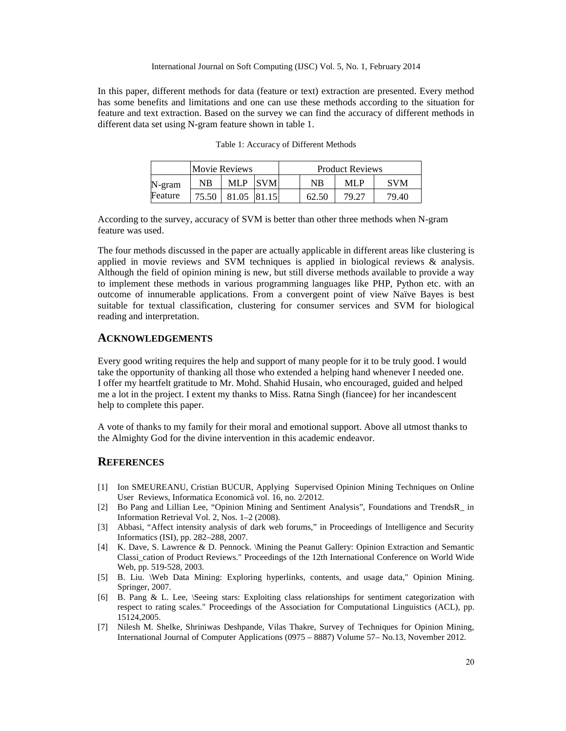In this paper, different methods for data (feature or text) extraction are presented. Every method has some benefits and limitations and one can use these methods according to the situation for feature and text extraction. Based on the survey we can find the accuracy of different methods in different data set using N-gram feature shown in table 1.

|         | <b>Movie Reviews</b> |       |              | <b>Product Reviews</b> |       |            |  |
|---------|----------------------|-------|--------------|------------------------|-------|------------|--|
| N-gram  | NB                   | MLP   | <b>SVM</b>   | NΒ                     | MI P  | <b>SVM</b> |  |
| Feature | 75.50                | 81.05 | <b>81.15</b> | 62.50                  | 79.27 | 79.40      |  |

Table 1: Accuracy of Different Methods

According to the survey, accuracy of SVM is better than other three methods when N-gram feature was used.

The four methods discussed in the paper are actually applicable in different areas like clustering is applied in movie reviews and SVM techniques is applied in biological reviews  $\&$  analysis. Although the field of opinion mining is new, but still diverse methods available to provide a way to implement these methods in various programming languages like PHP, Python etc. with an outcome of innumerable applications. From a convergent point of view Naïve Bayes is best suitable for textual classification, clustering for consumer services and SVM for biological reading and interpretation.

#### **ACKNOWLEDGEMENTS**

Every good writing requires the help and support of many people for it to be truly good. I would take the opportunity of thanking all those who extended a helping hand whenever I needed one. I offer my heartfelt gratitude to Mr. Mohd. Shahid Husain, who encouraged, guided and helped me a lot in the project. I extent my thanks to Miss. Ratna Singh (fiancee) for her incandescent help to complete this paper.

A vote of thanks to my family for their moral and emotional support. Above all utmost thanks to the Almighty God for the divine intervention in this academic endeavor.

### **REFERENCES**

- [1] Ion SMEUREANU, Cristian BUCUR, Applying Supervised Opinion Mining Techniques on Online User Reviews, Informatica Economic vol. 16, no. 2/2012.
- [2] Bo Pang and Lillian Lee, "Opinion Mining and Sentiment Analysis", Foundations and TrendsR\_ in Information Retrieval Vol. 2, Nos. 1–2 (2008).
- [3] Abbasi, "Affect intensity analysis of dark web forums," in Proceedings of Intelligence and Security Informatics (ISI), pp. 282–288, 2007.
- [4] K. Dave, S. Lawrence & D. Pennock. \Mining the Peanut Gallery: Opinion Extraction and Semantic Classi\_cation of Product Reviews." Proceedings of the 12th International Conference on World Wide Web, pp. 519-528, 2003.
- [5] B. Liu. \Web Data Mining: Exploring hyperlinks, contents, and usage data," Opinion Mining. Springer, 2007.
- [6] B. Pang & L. Lee, \Seeing stars: Exploiting class relationships for sentiment categorization with respect to rating scales." Proceedings of the Association for Computational Linguistics (ACL), pp. 15124,2005.
- [7] Nilesh M. Shelke, Shriniwas Deshpande, Vilas Thakre, Survey of Techniques for Opinion Mining, International Journal of Computer Applications (0975 – 8887) Volume 57– No.13, November 2012.